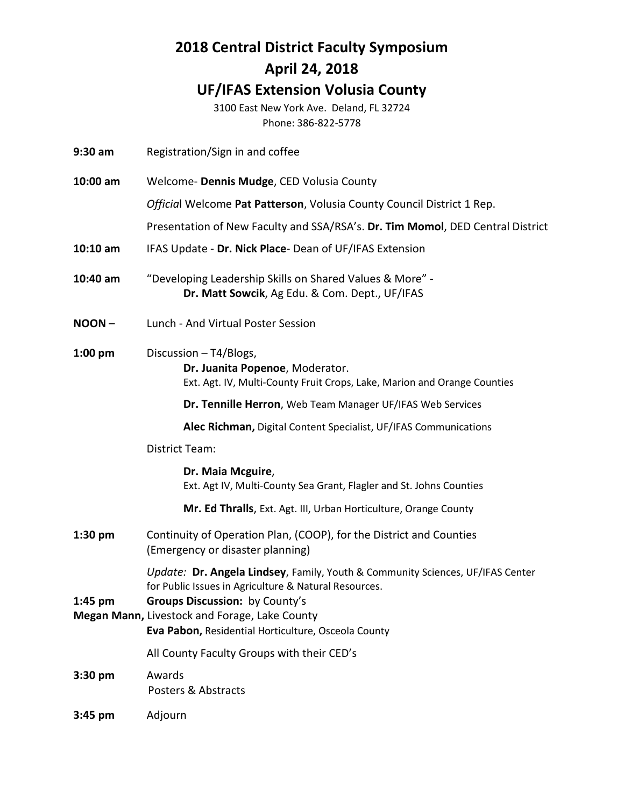## **2018 Central District Faculty Symposium April 24, 2018 UF/IFAS Extension Volusia County**

3100 East New York Ave. Deland, FL 32724 Phone: 386-822-5778

- **9:30 am** Registration/Sign in and coffee
- **10:00 am** Welcome- **Dennis Mudge**, CED Volusia County

*Officia*l Welcome **Pat Patterson**, Volusia County Council District 1 Rep.

Presentation of New Faculty and SSA/RSA's. **Dr. Tim Momol**, DED Central District

- **10:10 am** IFAS Update **Dr. Nick Place** Dean of UF/IFAS Extension
- **10:40 am** "Developing Leadership Skills on Shared Values & More" **Dr. Matt Sowcik**, Ag Edu. & Com. Dept., UF/IFAS
- **NOON** Lunch And Virtual Poster Session
- **1:00 pm** Discussion T4/Blogs, **Dr. Juanita Popenoe**, Moderator. Ext. Agt. IV, Multi-County Fruit Crops, Lake, Marion and Orange Counties

**Dr. Tennille Herron**, Web Team Manager UF/IFAS Web Services

**Alec Richman,** Digital Content Specialist, UF/IFAS Communications

#### District Team:

#### **Dr. Maia Mcguire**,

Ext. Agt IV, Multi-County Sea Grant, Flagler and St. Johns Counties

**Mr. Ed Thralls**, Ext. Agt. III, Urban Horticulture, Orange County

**1:30 pm** Continuity of Operation Plan, (COOP), for the District and Counties (Emergency or disaster planning)

> *Update:* **Dr. Angela Lindsey**, Family, Youth & Community Sciences, UF/IFAS Center for Public Issues in Agriculture & Natural Resources.

#### **1:45 pm Groups Discussion:** by County's

**Megan Mann,** Livestock and Forage, Lake County **Eva Pabon,** Residential Horticulture, Osceola County

All County Faculty Groups with their CED's

- **3:30 pm** Awards Posters & Abstracts
- **3:45 pm** Adjourn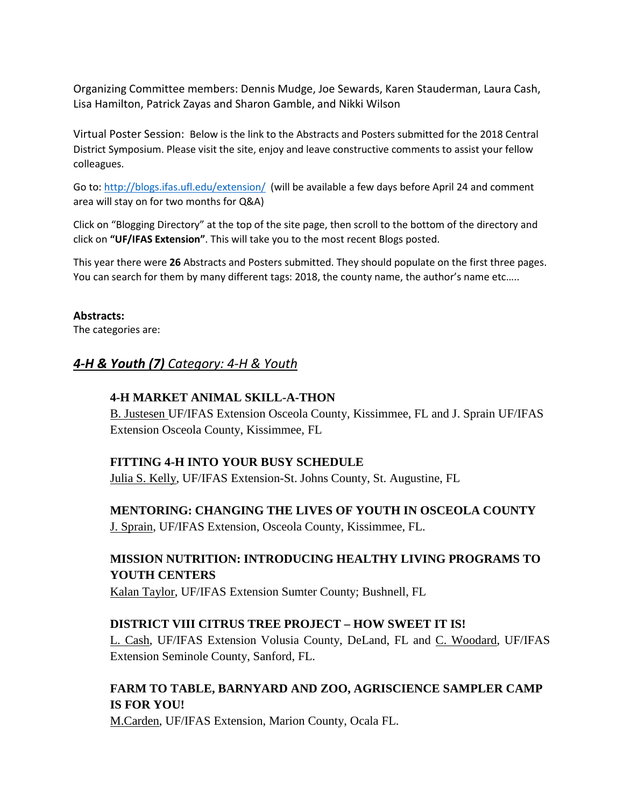Organizing Committee members: Dennis Mudge, Joe Sewards, Karen Stauderman, Laura Cash, Lisa Hamilton, Patrick Zayas and Sharon Gamble, and Nikki Wilson

Virtual Poster Session: Below is the link to the Abstracts and Posters submitted for the 2018 Central District Symposium. Please visit the site, enjoy and leave constructive comments to assist your fellow colleagues.

Go to:<http://blogs.ifas.ufl.edu/extension/>(will be available a few days before April 24 and comment area will stay on for two months for Q&A)

Click on "Blogging Directory" at the top of the site page, then scroll to the bottom of the directory and click on **"UF/IFAS Extension"**. This will take you to the most recent Blogs posted.

This year there were **26** Abstracts and Posters submitted. They should populate on the first three pages. You can search for them by many different tags: 2018, the county name, the author's name etc…..

#### **Abstracts:**

The categories are:

#### *4-H & Youth (7) Category: 4-H & Youth*

#### **4-H MARKET ANIMAL SKILL-A-THON**

B. Justesen UF/IFAS Extension Osceola County, Kissimmee, FL and J. Sprain UF/IFAS Extension Osceola County, Kissimmee, FL

#### **FITTING 4-H INTO YOUR BUSY SCHEDULE**

Julia S. Kelly, UF/IFAS Extension-St. Johns County, St. Augustine, FL

**MENTORING: CHANGING THE LIVES OF YOUTH IN OSCEOLA COUNTY**

J. Sprain, UF/IFAS Extension, Osceola County, Kissimmee, FL.

#### **MISSION NUTRITION: INTRODUCING HEALTHY LIVING PROGRAMS TO YOUTH CENTERS**

Kalan Taylor, UF/IFAS Extension Sumter County; Bushnell, FL

#### **DISTRICT VIII CITRUS TREE PROJECT – HOW SWEET IT IS!**

L. Cash, UF/IFAS Extension Volusia County, DeLand, FL and C. Woodard, UF/IFAS Extension Seminole County, Sanford, FL.

#### **FARM TO TABLE, BARNYARD AND ZOO, AGRISCIENCE SAMPLER CAMP IS FOR YOU!**

M.Carden, UF/IFAS Extension, Marion County, Ocala FL.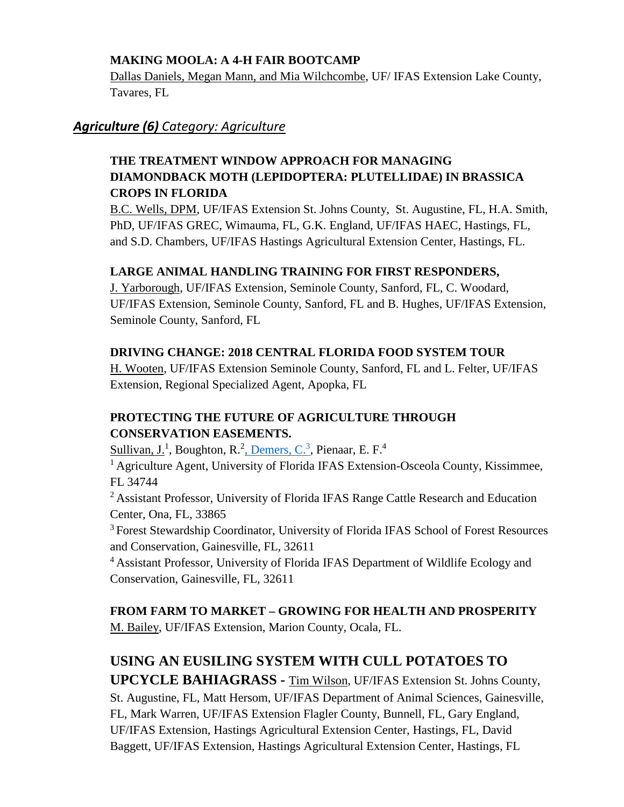#### **MAKING MOOLA: A 4-H FAIR BOOTCAMP**

Dallas Daniels, Megan Mann, and Mia Wilchcombe, UF/ IFAS Extension Lake County, Tavares, FL

## *Agriculture (6) Category: Agriculture*

## **THE TREATMENT WINDOW APPROACH FOR MANAGING DIAMONDBACK MOTH (LEPIDOPTERA: PLUTELLIDAE) IN BRASSICA CROPS IN FLORIDA**

B.C. Wells, DPM, UF/IFAS Extension St. Johns County, St. Augustine, FL, H.A. Smith, PhD, UF/IFAS GREC, Wimauma, FL, G.K. England, UF/IFAS HAEC, Hastings, FL, and S.D. Chambers, UF/IFAS Hastings Agricultural Extension Center, Hastings, FL.

#### **LARGE ANIMAL HANDLING TRAINING FOR FIRST RESPONDERS,**

J. Yarborough, UF/IFAS Extension, Seminole County, Sanford, FL, C. Woodard, UF/IFAS Extension, Seminole County, Sanford, FL and B. Hughes, UF/IFAS Extension, Seminole County, Sanford, FL

#### **DRIVING CHANGE: 2018 CENTRAL FLORIDA FOOD SYSTEM TOUR**

H. Wooten, UF/IFAS Extension Seminole County, Sanford, FL and L. Felter, UF/IFAS Extension, Regional Specialized Agent, Apopka, FL

## **PROTECTING THE FUTURE OF AGRICULTURE THROUGH CONSERVATION EASEMENTS.**

Sullivan, J.<sup>1</sup>, Boughton, R.<sup>2</sup>, Demers, C.<sup>3</sup>, Pienaar, E. F.<sup>4</sup>

<sup>1</sup> Agriculture Agent, University of Florida IFAS Extension-Osceola County, Kissimmee, FL 34744

<sup>2</sup> Assistant Professor, University of Florida IFAS Range Cattle Research and Education Center, Ona, FL, 33865

<sup>3</sup> Forest Stewardship Coordinator, University of Florida IFAS School of Forest Resources and Conservation, Gainesville, FL, 32611

<sup>4</sup> Assistant Professor, University of Florida IFAS Department of Wildlife Ecology and Conservation, Gainesville, FL, 32611

**FROM FARM TO MARKET – GROWING FOR HEALTH AND PROSPERITY** M. Bailey, UF/IFAS Extension, Marion County, Ocala, FL.

# **USING AN EUSILING SYSTEM WITH CULL POTATOES TO**

**UPCYCLE BAHIAGRASS -** Tim Wilson, UF/IFAS Extension St. Johns County, St. Augustine, FL, Matt Hersom, UF/IFAS Department of Animal Sciences, Gainesville, FL, Mark Warren, UF/IFAS Extension Flagler County, Bunnell, FL, Gary England, UF/IFAS Extension, Hastings Agricultural Extension Center, Hastings, FL, David Baggett, UF/IFAS Extension, Hastings Agricultural Extension Center, Hastings, FL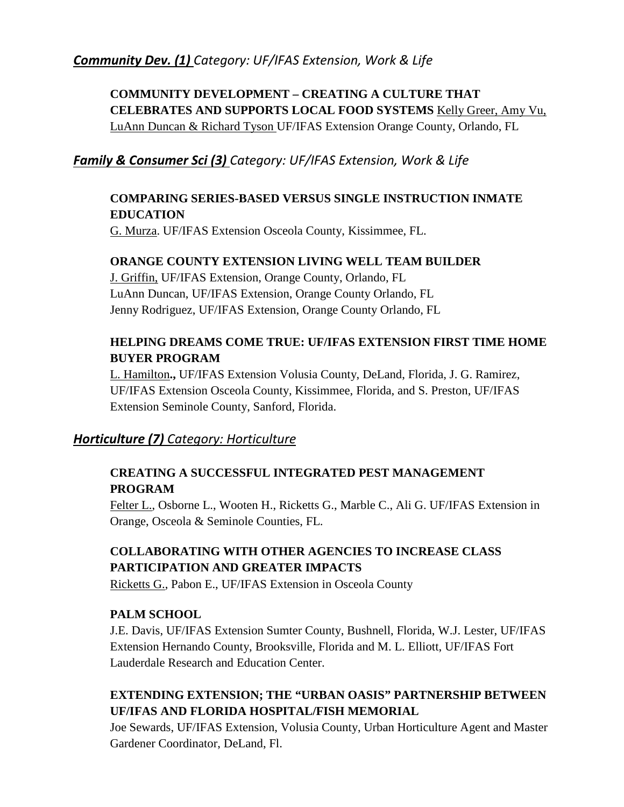## *Community Dev. (1) Category: UF/IFAS Extension, Work & Life*

## **COMMUNITY DEVELOPMENT – CREATING A CULTURE THAT CELEBRATES AND SUPPORTS LOCAL FOOD SYSTEMS** Kelly Greer, Amy Vu, LuAnn Duncan & Richard Tyson UF/IFAS Extension Orange County, Orlando, FL

#### *Family & Consumer Sci (3) Category: UF/IFAS Extension, Work & Life*

#### **COMPARING SERIES-BASED VERSUS SINGLE INSTRUCTION INMATE EDUCATION**

G. Murza. UF/IFAS Extension Osceola County, Kissimmee, FL.

#### **ORANGE COUNTY EXTENSION LIVING WELL TEAM BUILDER**

J. Griffin, UF/IFAS Extension, Orange County, Orlando, FL LuAnn Duncan, UF/IFAS Extension, Orange County Orlando, FL Jenny Rodriguez, UF/IFAS Extension, Orange County Orlando, FL

#### **HELPING DREAMS COME TRUE: UF/IFAS EXTENSION FIRST TIME HOME BUYER PROGRAM**

L. Hamilton**.,** UF/IFAS Extension Volusia County, DeLand, Florida, J. G. Ramirez, UF/IFAS Extension Osceola County, Kissimmee, Florida, and S. Preston, UF/IFAS Extension Seminole County, Sanford, Florida.

## *Horticulture (7) Category: Horticulture*

#### **CREATING A SUCCESSFUL INTEGRATED PEST MANAGEMENT PROGRAM**

Felter L., Osborne L., Wooten H., Ricketts G., Marble C., Ali G. UF/IFAS Extension in Orange, Osceola & Seminole Counties, FL.

## **COLLABORATING WITH OTHER AGENCIES TO INCREASE CLASS PARTICIPATION AND GREATER IMPACTS**

Ricketts G., Pabon E., UF/IFAS Extension in Osceola County

#### **PALM SCHOOL**

J.E. Davis, UF/IFAS Extension Sumter County, Bushnell, Florida, W.J. Lester, UF/IFAS Extension Hernando County, Brooksville, Florida and M. L. Elliott, UF/IFAS Fort Lauderdale Research and Education Center.

## **EXTENDING EXTENSION; THE "URBAN OASIS" PARTNERSHIP BETWEEN UF/IFAS AND FLORIDA HOSPITAL/FISH MEMORIAL**

Joe Sewards, UF/IFAS Extension, Volusia County, Urban Horticulture Agent and Master Gardener Coordinator, DeLand, Fl.